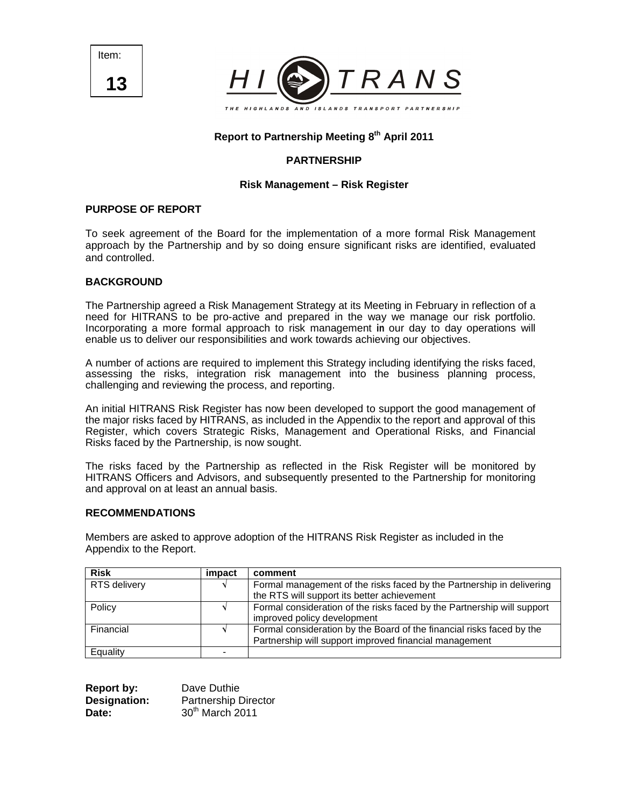Item: **13**



# **Report to Partnership Meeting 8th April 2011**

### **PARTNERSHIP**

### **Risk Management – Risk Register**

### **PURPOSE OF REPORT**

To seek agreement of the Board for the implementation of a more formal Risk Management approach by the Partnership and by so doing ensure significant risks are identified, evaluated and controlled.

#### **BACKGROUND**

The Partnership agreed a Risk Management Strategy at its Meeting in February in reflection of a need for HITRANS to be pro-active and prepared in the way we manage our risk portfolio. Incorporating a more formal approach to risk management **in** our day to day operations will enable us to deliver our responsibilities and work towards achieving our objectives.

A number of actions are required to implement this Strategy including identifying the risks faced, assessing the risks, integration risk management into the business planning process, challenging and reviewing the process, and reporting.

An initial HITRANS Risk Register has now been developed to support the good management of the major risks faced by HITRANS, as included in the Appendix to the report and approval of this Register, which covers Strategic Risks, Management and Operational Risks, and Financial Risks faced by the Partnership, is now sought.

The risks faced by the Partnership as reflected in the Risk Register will be monitored by HITRANS Officers and Advisors, and subsequently presented to the Partnership for monitoring and approval on at least an annual basis.

#### **RECOMMENDATIONS**

Members are asked to approve adoption of the HITRANS Risk Register as included in the Appendix to the Report.

| <b>Risk</b>         | impact | comment                                                                                                                         |
|---------------------|--------|---------------------------------------------------------------------------------------------------------------------------------|
| <b>RTS</b> delivery |        | Formal management of the risks faced by the Partnership in delivering                                                           |
|                     |        | the RTS will support its better achievement                                                                                     |
| Policy              |        | Formal consideration of the risks faced by the Partnership will support<br>improved policy development                          |
| Financial           |        | Formal consideration by the Board of the financial risks faced by the<br>Partnership will support improved financial management |
| Equality            |        |                                                                                                                                 |

| <b>Report by:</b> | Dave Duthie                 |
|-------------------|-----------------------------|
| Designation:      | <b>Partnership Director</b> |
| Date:             | $30th$ March 2011           |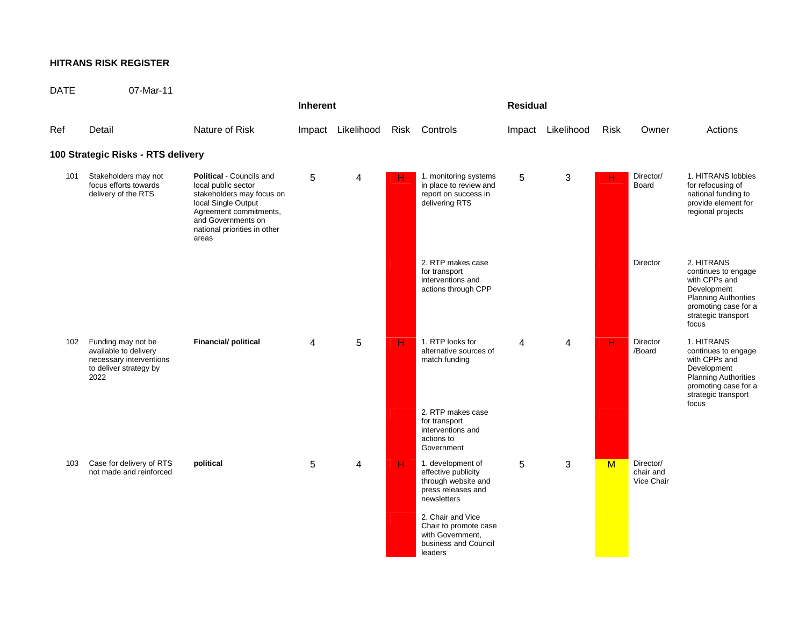## **HITRANS RISK REGISTER**

| <b>DATE</b> | 07-Mar-11                                                                                                |                                                                                                                                                                                                     |                 |                   |                         |                                                                                                      |   |                   |             |                                      |                                                                                                                                                          |
|-------------|----------------------------------------------------------------------------------------------------------|-----------------------------------------------------------------------------------------------------------------------------------------------------------------------------------------------------|-----------------|-------------------|-------------------------|------------------------------------------------------------------------------------------------------|---|-------------------|-------------|--------------------------------------|----------------------------------------------------------------------------------------------------------------------------------------------------------|
|             |                                                                                                          |                                                                                                                                                                                                     | <b>Inherent</b> |                   |                         | <b>Residual</b>                                                                                      |   |                   |             |                                      |                                                                                                                                                          |
| Ref         | Detail                                                                                                   | Nature of Risk                                                                                                                                                                                      |                 | Impact Likelihood |                         | Risk Controls                                                                                        |   | Impact Likelihood | <b>Risk</b> | Owner                                | Actions                                                                                                                                                  |
|             | 100 Strategic Risks - RTS delivery                                                                       |                                                                                                                                                                                                     |                 |                   |                         |                                                                                                      |   |                   |             |                                      |                                                                                                                                                          |
| 101         | Stakeholders may not<br>focus efforts towards<br>delivery of the RTS                                     | <b>Political - Councils and</b><br>local public sector<br>stakeholders may focus on<br>local Single Output<br>Agreement commitments,<br>and Governments on<br>national priorities in other<br>areas | 5               | 4                 | H.                      | 1. monitoring systems<br>in place to review and<br>report on success in<br>delivering RTS            | 5 | $\mathsf 3$       | н           | Director/<br>Board                   | 1. HITRANS lobbies<br>for refocusing of<br>national funding to<br>provide element for<br>regional projects                                               |
|             |                                                                                                          |                                                                                                                                                                                                     |                 |                   |                         | 2. RTP makes case<br>for transport<br>interventions and<br>actions through CPP                       |   |                   |             | Director                             | 2. HITRANS<br>continues to engage<br>with CPPs and<br>Development<br><b>Planning Authorities</b><br>promoting case for a<br>strategic transport<br>focus |
| 102         | Funding may not be<br>available to delivery<br>necessary interventions<br>to deliver strategy by<br>2022 | <b>Financial/ political</b>                                                                                                                                                                         | $\overline{4}$  | 5                 | $\overline{H}$          | 1. RTP looks for<br>alternative sources of<br>match funding                                          | 4 | 4                 | н           | Director<br>/Board                   | 1. HITRANS<br>continues to engage<br>with CPPs and<br>Development<br><b>Planning Authorities</b><br>promoting case for a<br>strategic transport          |
|             |                                                                                                          |                                                                                                                                                                                                     |                 |                   |                         | 2. RTP makes case<br>for transport<br>interventions and<br>actions to<br>Government                  |   |                   |             |                                      | focus                                                                                                                                                    |
| 103         | Case for delivery of RTS<br>not made and reinforced                                                      | political                                                                                                                                                                                           | 5               | 4                 | $\overline{\mathsf{H}}$ | 1. development of<br>effective publicity<br>through website and<br>press releases and<br>newsletters | 5 | 3                 | M           | Director/<br>chair and<br>Vice Chair |                                                                                                                                                          |
|             |                                                                                                          |                                                                                                                                                                                                     |                 |                   |                         | 2. Chair and Vice<br>Chair to promote case<br>with Government,<br>business and Council<br>leaders    |   |                   |             |                                      |                                                                                                                                                          |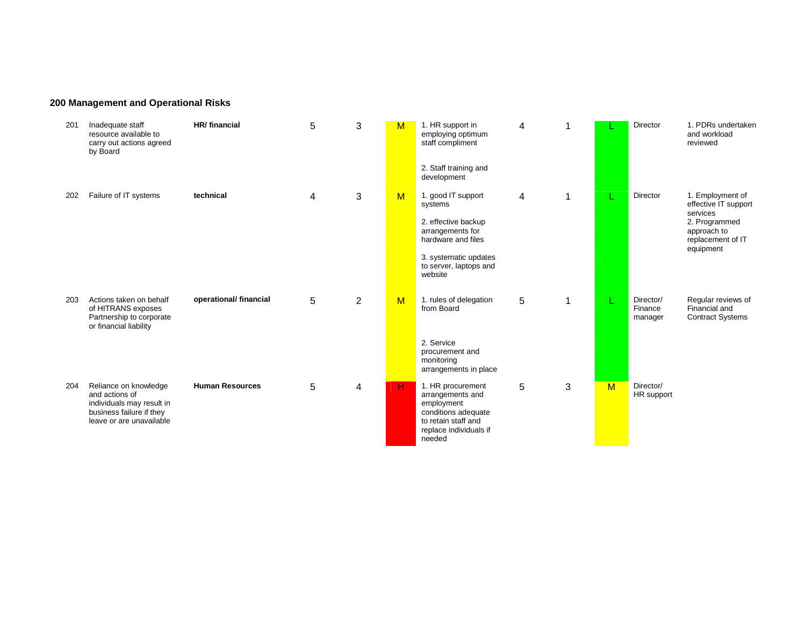# **200 Management and Operational Risks**

| 201 | Inadequate staff<br>resource available to<br>carry out actions agreed<br>by Board                                            | HR/ financial          | 5 | 3 | M                       | 1. HR support in<br>employing optimum<br>staff compliment                                                                             | 4 |   |   | Director                        | 1. PDRs undertaken<br>and workload<br>reviewed                 |
|-----|------------------------------------------------------------------------------------------------------------------------------|------------------------|---|---|-------------------------|---------------------------------------------------------------------------------------------------------------------------------------|---|---|---|---------------------------------|----------------------------------------------------------------|
|     |                                                                                                                              |                        |   |   |                         | 2. Staff training and<br>development                                                                                                  |   |   |   |                                 |                                                                |
| 202 | Failure of IT systems                                                                                                        | technical              | 4 | 3 | $\overline{\mathsf{M}}$ | 1. good IT support<br>systems                                                                                                         | 4 | 1 |   | Director                        | 1. Employment of<br>effective IT support<br>services           |
|     |                                                                                                                              |                        |   |   |                         | 2. effective backup<br>arrangements for<br>hardware and files                                                                         |   |   |   |                                 | 2. Programmed<br>approach to<br>replacement of IT<br>equipment |
|     |                                                                                                                              |                        |   |   |                         | 3. systematic updates<br>to server, laptops and<br>website                                                                            |   |   |   |                                 |                                                                |
| 203 | Actions taken on behalf<br>of HITRANS exposes<br>Partnership to corporate<br>or financial liability                          | operational/ financial | 5 | 2 | $\overline{\mathsf{M}}$ | 1. rules of delegation<br>from Board                                                                                                  | 5 | 1 |   | Director/<br>Finance<br>manager | Regular reviews of<br>Financial and<br><b>Contract Systems</b> |
|     |                                                                                                                              |                        |   |   |                         | 2. Service<br>procurement and<br>monitoring<br>arrangements in place                                                                  |   |   |   |                                 |                                                                |
| 204 | Reliance on knowledge<br>and actions of<br>individuals may result in<br>business failure if they<br>leave or are unavailable | <b>Human Resources</b> | 5 | 4 | н                       | 1. HR procurement<br>arrangements and<br>employment<br>conditions adequate<br>to retain staff and<br>replace individuals if<br>needed | 5 | 3 | M | Director/<br>HR support         |                                                                |